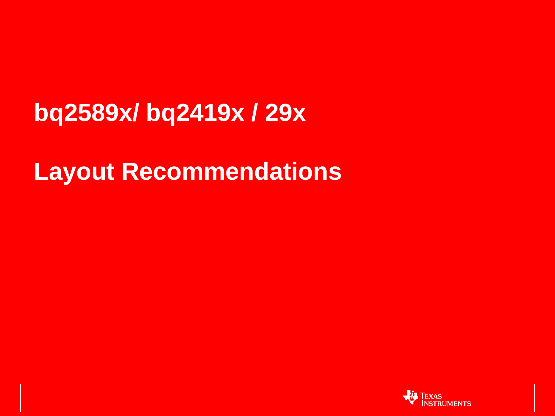## **bq2589x/ bq2419x / 29x**

### **Layout Recommendations**

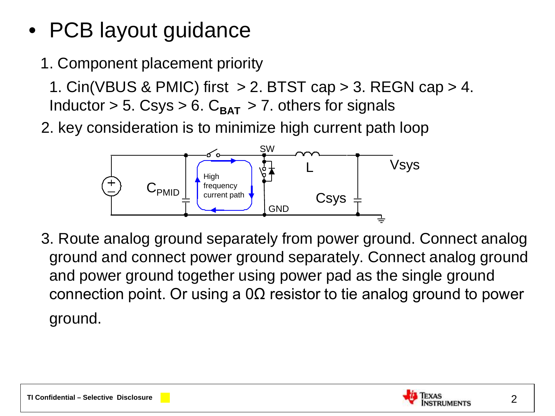- PCB layout guidance
	- 1. Component placement priority

1. Cin(VBUS & PMIC) first  $> 2$ . BTST cap  $> 3$ . REGN cap  $> 4$ . Inductor  $> 5$ . Csys  $> 6$ . C<sub>BAT</sub>  $> 7$ . others for signals

2. key consideration is to minimize high current path loop



 3. Route analog ground separately from power ground. Connect analog ground and connect power ground separately. Connect analog ground and power ground together using power pad as the single ground connection point. Or using a 0Ω resistor to tie analog ground to power ground.

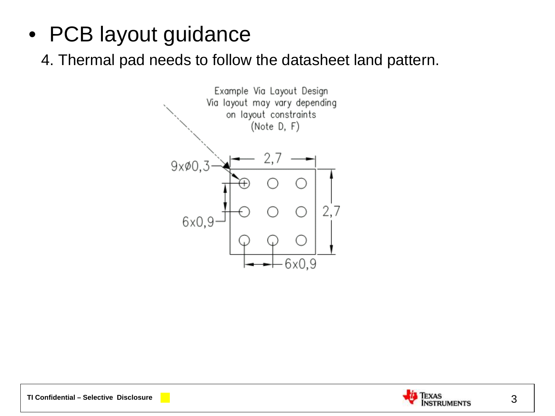• PCB layout guidance

4. Thermal pad needs to follow the datasheet land pattern.





3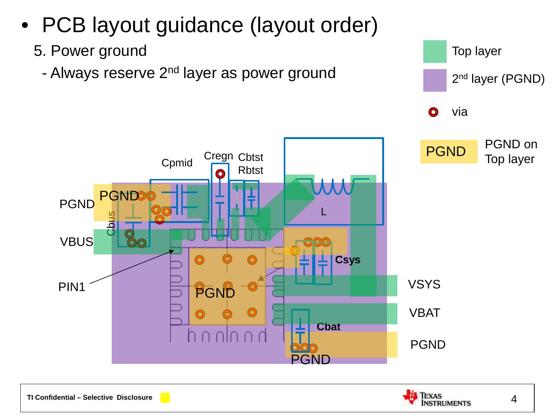

**TI Confidential – Selective Disclosure**

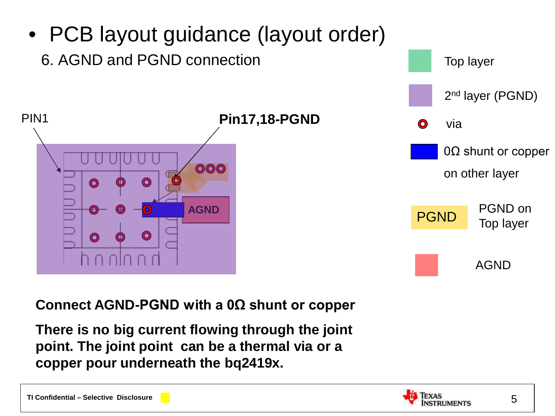

#### **Connect AGND-PGND with a 0Ω shunt or copper**

**There is no big current flowing through the joint point. The joint point can be a thermal via or a copper pour underneath the bq2419x.**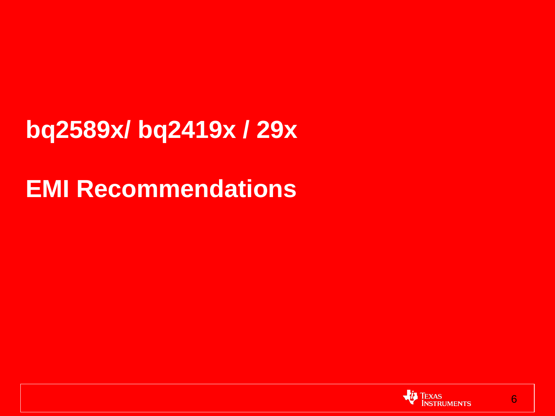**bq2589x/ bq2419x / 29x**

**EMI Recommendations**

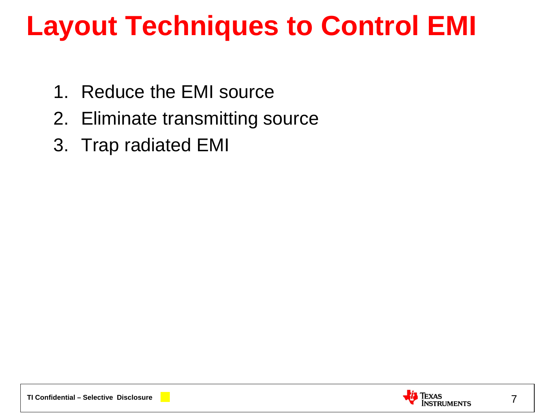## **Layout Techniques to Control EMI**

- 1. Reduce the EMI source
- 2. Eliminate transmitting source
- 3. Trap radiated EMI

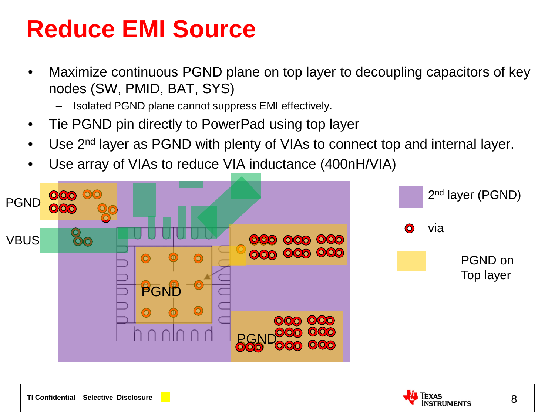## **Reduce EMI Source**

- Maximize continuous PGND plane on top layer to decoupling capacitors of key nodes (SW, PMID, BAT, SYS)
	- Isolated PGND plane cannot suppress EMI effectively.
- Tie PGND pin directly to PowerPad using top layer
- Use 2<sup>nd</sup> layer as PGND with plenty of VIAs to connect top and internal layer.
- Use array of VIAs to reduce VIA inductance (400nH/VIA)



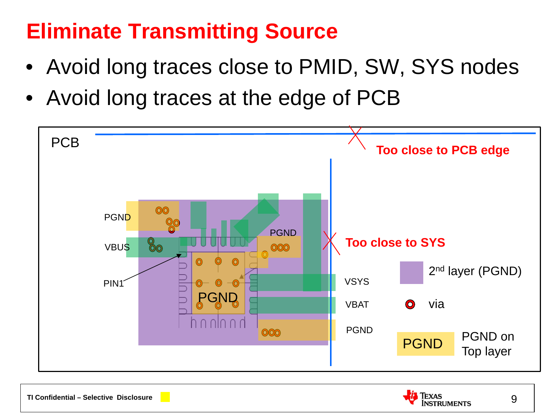### **Eliminate Transmitting Source**

- Avoid long traces close to PMID, SW, SYS nodes
- Avoid long traces at the edge of PCB



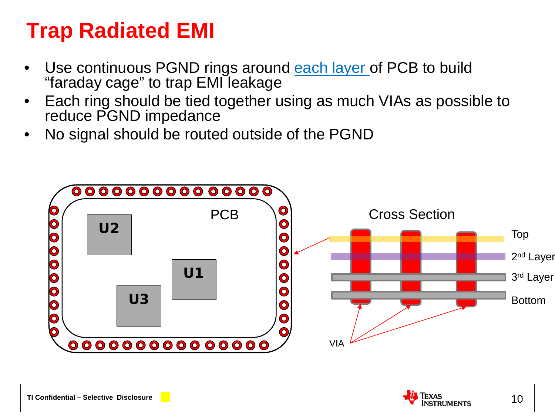### **Trap Radiated EMI**

- Use continuous PGND rings around each layer of PCB to build "faraday cage" to trap EMI leakage
- Each ring should be tied together using as much VIAs as possible to reduce PGND impedance
- No signal should be routed outside of the PGND

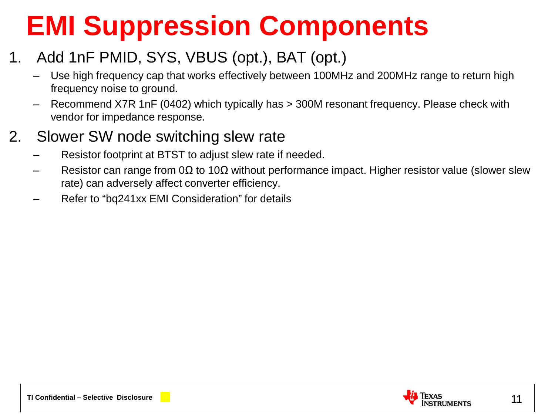# **EMI Suppression Components**

#### 1. Add 1nF PMID, SYS, VBUS (opt.), BAT (opt.)

- Use high frequency cap that works effectively between 100MHz and 200MHz range to return high frequency noise to ground.
- Recommend X7R 1nF (0402) which typically has > 300M resonant frequency. Please check with vendor for impedance response.

#### 2. Slower SW node switching slew rate

- Resistor footprint at BTST to adjust slew rate if needed.
- Resistor can range from 0 $\Omega$  to 10 $\Omega$  without performance impact. Higher resistor value (slower slew rate) can adversely affect converter efficiency.
- Refer to "bq241xx EMI Consideration" for details

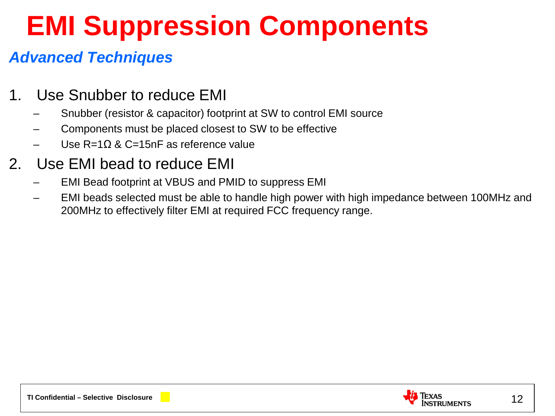# **EMI Suppression Components**

#### *Advanced Techniques*

- 1. Use Snubber to reduce EMI
	- Snubber (resistor & capacitor) footprint at SW to control EMI source
	- Components must be placed closest to SW to be effective
	- Use R=1Ω & C=15nF as reference value

#### 2. Use EMI bead to reduce EMI

- EMI Bead footprint at VBUS and PMID to suppress EMI
- EMI beads selected must be able to handle high power with high impedance between 100MHz and 200MHz to effectively filter EMI at required FCC frequency range.

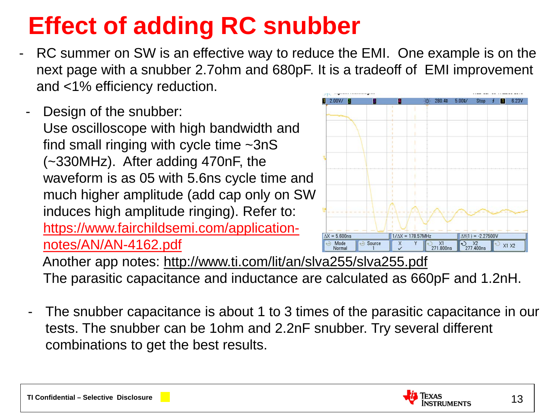## **Effect of adding RC snubber**

- RC summer on SW is an effective way to reduce the EMI. One example is on the next page with a snubber 2.7ohm and 680pF. It is a tradeoff of EMI improvement and <1% efficiency reduction.
- Design of the snubber: Use oscilloscope with high bandwidth and find small ringing with cycle time ~3nS (~330MHz). After adding 470nF, the waveform is as 05 with 5.6ns cycle time and much higher amplitude (add cap only on SW induces high amplitude ringing). Refer to: [https://www.fairchildsemi.com/application](https://www.fairchildsemi.com/application-notes/AN/AN-4162.pdf)[notes/AN/AN-4162.pdf](https://www.fairchildsemi.com/application-notes/AN/AN-4162.pdf)



 Another app notes: http://www.ti.com/lit/an/slva255/slva255.pdf The parasitic capacitance and inductance are calculated as 660pF and 1.2nH.

The snubber capacitance is about 1 to 3 times of the parasitic capacitance in our tests. The snubber can be 1ohm and 2.2nF snubber. Try several different combinations to get the best results.

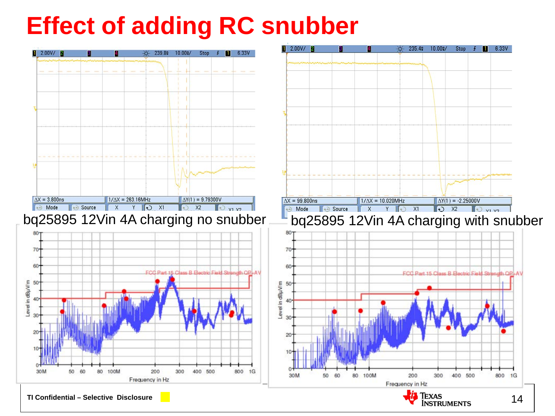## **Effect of adding RC snubber**

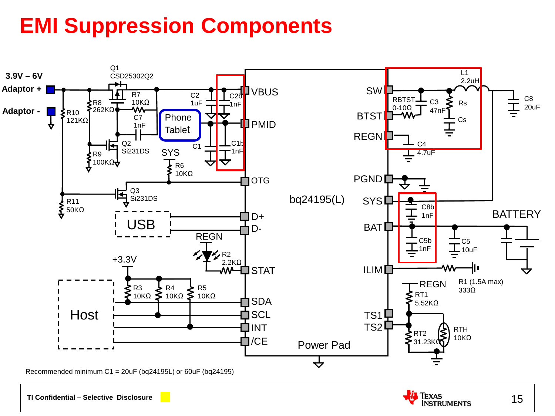### **EMI Suppression Components**